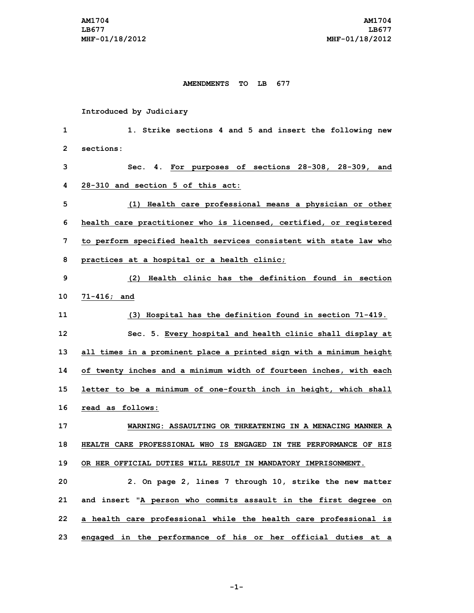## **AMENDMENTS TO LB 677**

## **Introduced by Judiciary**

 **1. Strike sections 4 and 5 and insert the following new sections: Sec. 4. For purposes of sections 28-308, 28-309, and 28-310 and section 5 of this act: (1) Health care professional means <sup>a</sup> physician or other health care practitioner who is licensed, certified, or registered to perform specified health services consistent with state law who practices at <sup>a</sup> hospital or <sup>a</sup> health clinic; (2) Health clinic has the definition found in section 71-416; and (3) Hospital has the definition found in section 71-419. Sec. 5. Every hospital and health clinic shall display at all times in <sup>a</sup> prominent place <sup>a</sup> printed sign with <sup>a</sup> minimum height of twenty inches and <sup>a</sup> minimum width of fourteen inches, with each letter to be <sup>a</sup> minimum of one-fourth inch in height, which shall read as follows: WARNING: ASSAULTING OR THREATENING IN A MENACING MANNER A HEALTH CARE PROFESSIONAL WHO IS ENGAGED IN THE PERFORMANCE OF HIS OR HER OFFICIAL DUTIES WILL RESULT IN MANDATORY IMPRISONMENT. 2. On page 2, lines 7 through 10, strike the new matter and insert "A person who commits assault in the first degree on <sup>a</sup> health care professional while the health care professional is**

**-1-**

**23 engaged in the performance of his or her official duties at <sup>a</sup>**